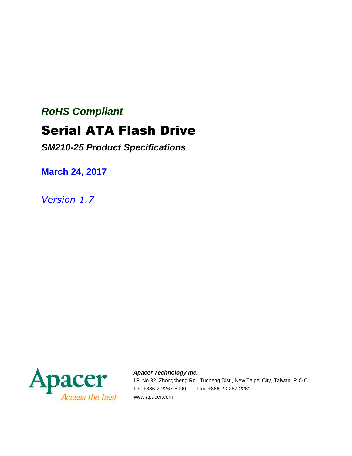# *RoHS Compliant* Serial ATA Flash Drive

*SM210-25 Product Specifications*

**March 24, 2017**

*Version 1.7*



*Apacer Technology Inc.*

1F, No.32, Zhongcheng Rd., Tucheng Dist., New Taipei City, Taiwan, R.O.C Tel: +886-2-2267-8000 Fax: +886-2-2267-2261 www.apacer.com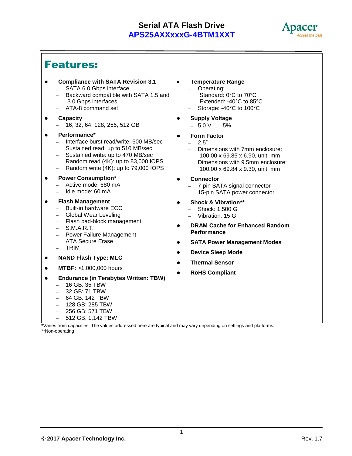

## Features:

- **Compliance with SATA Revision 3.1** – SATA 6.0 Gbps interface
	- Backward compatible with SATA 1.5 and 3.0 Gbps interfaces
	- ATA-8 command set
- **Capacity**
	- 16, 32, 64, 128, 256, 512 GB
- **Performance\***
	- Interface burst read/write: 600 MB/sec
	- Sustained read: up to 510 MB/sec
	- Sustained write: up to 470 MB/sec
	- Random read (4K): up to 83,000 IOPS
	- Random write (4K): up to 79,000 IOPS
- **Power Consumption\***
	- Active mode: 680 mA
	- Idle mode: 60 mA
- **Flash Management** 
	- Built-in hardware ECC
	- Global Wear Leveling
	- Flash bad-block management
	- S.M.A.R.T.
	- Power Failure Management
	- ATA Secure Erase
	- TRIM
- **NAND Flash Type: MLC**
- **MTBF:** >1,000,000 hours
- **Endurance (in Terabytes Written: TBW)**
	- 16 GB: 35 TBW
	- 32 GB: 71 TBW
	- 64 GB: 142 TBW
	- 128 GB: 285 TBW
	- 256 GB: 571 TBW
	- 512 GB: 1,142 TBW
- **Temperature Range**
	- Operating: Standard: 0°C to 70°C Extended: -40°C to 85°C
	- Storage: -40°C to 100°C
- **Supply Voltage**
	- $-5.0$  V  $\pm$  5%
	- **Form Factor**
	- 2.5"
	- Dimensions with 7mm enclosure: 100.00 x 69.85 x 6.90, unit: mm
	- Dimensions with 9.5mm enclosure: 100.00 x 69.84 x 9.30, unit: mm
- **Connector**
	- 7-pin SATA signal connector
	- 15-pin SATA power connector
- **Shock & Vibration\*\***
	- Shock: 1,500 G
	- Vibration: 15 G
- **DRAM Cache for Enhanced Random Performance**
- **SATA Power Management Modes**
- **Device Sleep Mode**
- **Thermal Sensor**
- **RoHS Compliant**

**\***Varies from capacities. The values addressed here are typical and may vary depending on settings and platforms. \*\*Non-operating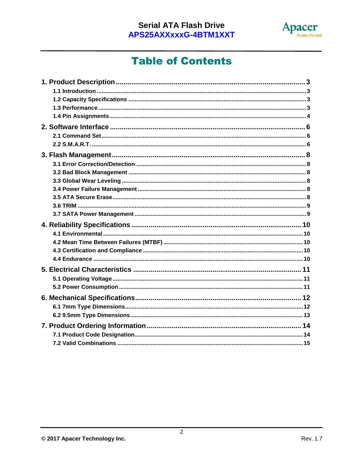

## **Table of Contents**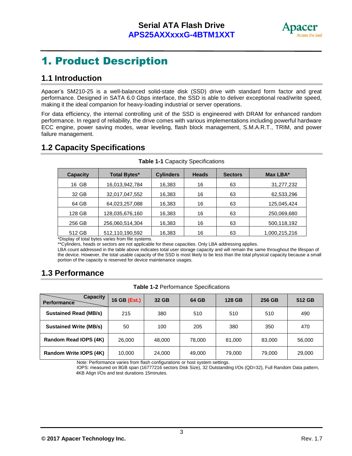

## 1. Product Description

### **1.1 Introduction**

Apacer's SM210-25 is a well-balanced solid-state disk (SSD) drive with standard form factor and great performance. Designed in SATA 6.0 Gbps interface, the SSD is able to deliver exceptional read/write speed, making it the ideal companion for heavy-loading industrial or server operations.

For data efficiency, the internal controlling unit of the SSD is engineered with DRAM for enhanced random performance. In regard of reliability, the drive comes with various implementations including powerful hardware ECC engine, power saving modes, wear leveling, flash block management, S.M.A.R.T., TRIM, and power failure management.

### **1.2 Capacity Specifications**

| <b>Capacity</b> | <b>Total Bytes*</b> | <b>Cylinders</b> | <b>Heads</b> | <b>Sectors</b> | Max LBA*      |
|-----------------|---------------------|------------------|--------------|----------------|---------------|
| 16 GB           | 16,013,942,784      | 16,383           | 16           | 63             | 31,277,232    |
| 32 GB           | 32,017,047,552      | 16,383           | 16           | 63             | 62,533,296    |
| 64 GB           | 64,023,257,088      | 16,383           | 16           | 63             | 125,045,424   |
| 128 GB          | 128,035,676,160     | 16,383           | 16           | 63             | 250,069,680   |
| 256 GB          | 256,060,514,304     | 16,383           | 16           | 63             | 500,118,192   |
| 512 GB          | 512,110,190,592     | 16,383           | 16           | 63             | 1,000,215,216 |

**Table 1-1** Capacity Specifications

\*Display of total bytes varies from file systems.

\*\*Cylinders, heads or sectors are not applicable for these capacities. Only LBA addressing applies.

LBA count addressed in the table above indicates total user storage capacity and will remain the same throughout the lifespan of the device. However, the total usable capacity of the SSD is most likely to be less than the total physical capacity because a small portion of the capacity is reserved for device maintenance usages.

### **1.3 Performance**

| <b>Capacity</b><br>Performance | 16 GB (Est.) | 32 GB  | 64 GB  | 128 GB | 256 GB | 512 GB |
|--------------------------------|--------------|--------|--------|--------|--------|--------|
| <b>Sustained Read (MB/s)</b>   | 215          | 380    | 510    | 510    | 510    | 490    |
| <b>Sustained Write (MB/s)</b>  | 50           | 100    | 205    | 380    | 350    | 470    |
| Random Read IOPS (4K)          | 26,000       | 48.000 | 78,000 | 81.000 | 83,000 | 56,000 |
| Random Write IOPS (4K)         | 10,000       | 24,000 | 49,000 | 79,000 | 79,000 | 29,000 |

Note: Performance varies from flash configurations or host system settings.

 IOPS: measured on 8GB span (16777216 sectors Disk Size), 32 Outstanding I/Os (QD=32), Full Random Data pattern, 4KB Align I/Os and test durations 15minutes.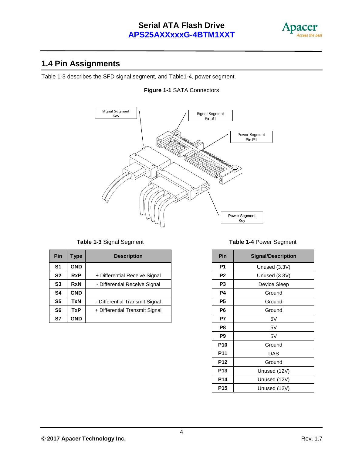

### **1.4 Pin Assignments**

Table 1-3 describes the SFD signal segment, and Table1-4, power segment.

#### **Figure 1-1** SATA Connectors



| Pin            | Type       | <b>Description</b>             | Pin            | <b>Signal/Description</b> |
|----------------|------------|--------------------------------|----------------|---------------------------|
| S <sub>1</sub> | <b>GND</b> |                                | P <sub>1</sub> | Unused (3.3V)             |
| <b>S2</b>      | <b>RxP</b> | + Differential Receive Signal  | P <sub>2</sub> | Unused (3.3V)             |
| S <sub>3</sub> | <b>RxN</b> | - Differential Receive Signal  | P <sub>3</sub> | Device Sleep              |
| S <sub>4</sub> | <b>GND</b> |                                | P4             | Ground                    |
| S <sub>5</sub> | TxN        | - Differential Transmit Signal | <b>P5</b>      | Ground                    |
| S <sub>6</sub> | <b>TxP</b> | + Differential Transmit Signal | P6             | Ground                    |
| S7             | GND        |                                | P7             | 5٧                        |

#### **Table 1-3** Signal Segment **Table 1-4** Power Segment

| Pin             | <b>Signal/Description</b> |  |  |  |
|-----------------|---------------------------|--|--|--|
| P1              | Unused (3.3V)             |  |  |  |
| P <sub>2</sub>  | Unused (3.3V)             |  |  |  |
| P <sub>3</sub>  | Device Sleep              |  |  |  |
| P4              | Ground                    |  |  |  |
| P <sub>5</sub>  | Ground                    |  |  |  |
| P <sub>6</sub>  | Ground                    |  |  |  |
| P7              | 5V                        |  |  |  |
| P8              | 5V                        |  |  |  |
| P <sub>9</sub>  | 5V                        |  |  |  |
| <b>P10</b>      | Ground                    |  |  |  |
| P11             | DAS                       |  |  |  |
| <b>P12</b>      | Ground                    |  |  |  |
| P <sub>13</sub> | Unused (12V)              |  |  |  |
| P <sub>14</sub> | Unused (12V)              |  |  |  |
| P15             | Unused (12V)              |  |  |  |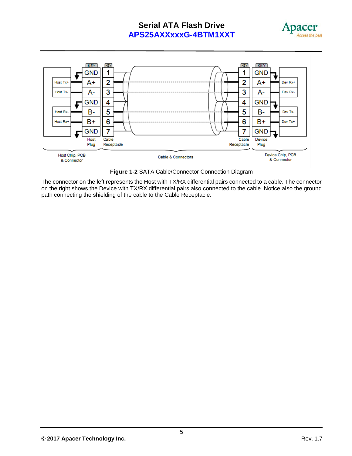



**Figure 1-2** SATA Cable/Connector Connection Diagram

The connector on the left represents the Host with TX/RX differential pairs connected to a cable. The connector on the right shows the Device with TX/RX differential pairs also connected to the cable. Notice also the ground path connecting the shielding of the cable to the Cable Receptacle.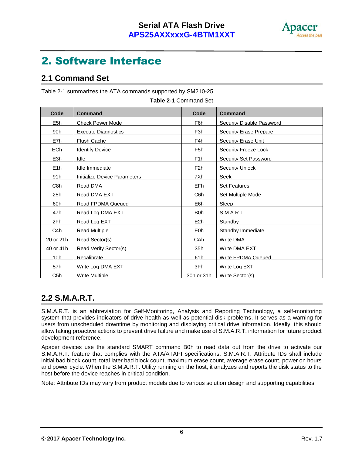

## 2. Software Interface

### **2.1 Command Set**

Table 2-1 summarizes the ATA commands supported by SM210-25.

| Code            | <b>Command</b>                      | Code             | <b>Command</b>                |
|-----------------|-------------------------------------|------------------|-------------------------------|
| E <sub>5h</sub> | <b>Check Power Mode</b>             | F6h              | Security Disable Password     |
| 90h             | <b>Execute Diagnostics</b>          | F <sub>3</sub> h | <b>Security Erase Prepare</b> |
| E7h             | Flush Cache                         | F4h              | <b>Security Erase Unit</b>    |
| EC <sub>h</sub> | <b>Identify Device</b>              | F <sub>5</sub> h | <b>Security Freeze Lock</b>   |
| <u>E3h</u>      | Idle                                | F <sub>1</sub> h | <b>Security Set Password</b>  |
| E1h             | Idle Immediate                      | F2h              | <b>Security Unlock</b>        |
| <u>91h</u>      | <b>Initialize Device Parameters</b> | 7Xh              | <b>Seek</b>                   |
| <u>C8h</u>      | Read DMA                            | EFh              | <b>Set Features</b>           |
| 25h             | Read DMA EXT                        | C6h              | Set Multiple Mode             |
| 60h             | <b>Read FPDMA Queued</b>            | E6h              | Sleep                         |
| 47h             | Read Log DMA EXT                    | <b>B</b> Oh      | S.M.A.R.T.                    |
| 2Fh             | Read Log EXT                        | E <sub>2</sub> h | Standby                       |
| C4h             | <b>Read Multiple</b>                | E <sub>0</sub> h | Standby Immediate             |
| 20 or 21h       | Read Sector(s)                      | CA <sub>h</sub>  | Write DMA                     |
| 40 or 41h       | Read Verify Sector(s)               | 35h              | Write DMA EXT                 |
| 10 <sub>h</sub> | <b>Recalibrate</b>                  | 61h              | <b>Write FPDMA Queued</b>     |
| 57h             | Write Log DMA EXT                   | 3Fh              | Write Log EXT                 |
| C5h             | <b>Write Multiple</b>               | 30h or 31h       | Write Sector(s)               |

**Table 2-1** Command Set

### **2.2 S.M.A.R.T.**

S.M.A.R.T. is an abbreviation for Self-Monitoring, Analysis and Reporting Technology, a self-monitoring system that provides indicators of drive health as well as potential disk problems. It serves as a warning for users from unscheduled downtime by monitoring and displaying critical drive information. Ideally, this should allow taking proactive actions to prevent drive failure and make use of S.M.A.R.T. information for future product development reference.

Apacer devices use the standard SMART command B0h to read data out from the drive to activate our S.M.A.R.T. feature that complies with the ATA/ATAPI specifications. S.M.A.R.T. Attribute IDs shall include initial bad block count, total later bad block count, maximum erase count, average erase count, power on hours and power cycle. When the S.M.A.R.T. Utility running on the host, it analyzes and reports the disk status to the host before the device reaches in critical condition.

Note: Attribute IDs may vary from product models due to various solution design and supporting capabilities.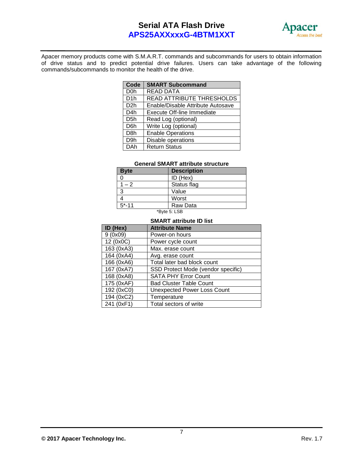

Apacer memory products come with S.M.A.R.T. commands and subcommands for users to obtain information of drive status and to predict potential drive failures. Users can take advantage of the following commands/subcommands to monitor the health of the drive.

| Code             | <b>SMART Subcommand</b>           |
|------------------|-----------------------------------|
| D <sub>0</sub> h | <b>READ DATA</b>                  |
| D <sub>1</sub> h | READ ATTRIBUTE THRESHOLDS         |
| D <sub>2</sub> h | Enable/Disable Attribute Autosave |
| D <sub>4</sub> h | <b>Execute Off-line Immediate</b> |
| D <sub>5</sub> h | Read Log (optional)               |
| D <sub>6</sub> h | Write Log (optional)              |
| D <sub>8</sub> h | <b>Enable Operations</b>          |
| D <sub>9</sub> h | Disable operations                |
| DAh              | <b>Return Status</b>              |

#### **General SMART attribute structure**

| <b>Byte</b>                                     | <b>Description</b> |  |  |
|-------------------------------------------------|--------------------|--|--|
|                                                 | ID (Hex)           |  |  |
| $1 - 2$                                         | Status flag        |  |  |
| 3                                               | Value              |  |  |
|                                                 | Worst              |  |  |
| $15 - 11$                                       | Raw Data           |  |  |
| $*D_1$ <sub>to <math>F</math></sub> $\Box$ $CD$ |                    |  |  |

#### \*Byte 5: LSB

#### **SMART attribute ID list**

| ID (Hex)   | <b>Attribute Name</b>              |
|------------|------------------------------------|
| 9(0x09)    | Power-on hours                     |
| 12 (0x0C)  | Power cycle count                  |
| 163 (0xA3) | Max. erase count                   |
| 164 (0xA4) | Avg. erase count                   |
| 166 (0xA6) | Total later bad block count        |
| 167 (0xA7) | SSD Protect Mode (vendor specific) |
| 168 (0xA8) | <b>SATA PHY Error Count</b>        |
| 175 (0xAF) | <b>Bad Cluster Table Count</b>     |
| 192 (0xC0) | <b>Unexpected Power Loss Count</b> |
| 194 (0xC2) | Temperature                        |
| 241 (0xF1) | Total sectors of write             |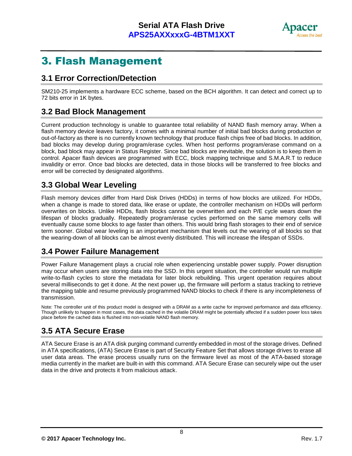

## 3. Flash Management

### **3.1 Error Correction/Detection**

SM210-25 implements a hardware ECC scheme, based on the BCH algorithm. It can detect and correct up to 72 bits error in 1K bytes.

### **3.2 Bad Block Management**

Current production technology is unable to guarantee total reliability of NAND flash memory array. When a flash memory device leaves factory, it comes with a minimal number of initial bad blocks during production or out-of-factory as there is no currently known technology that produce flash chips free of bad blocks. In addition, bad blocks may develop during program/erase cycles. When host performs program/erase command on a block, bad block may appear in Status Register. Since bad blocks are inevitable, the solution is to keep them in control. Apacer flash devices are programmed with ECC, block mapping technique and S.M.A.R.T to reduce invalidity or error. Once bad blocks are detected, data in those blocks will be transferred to free blocks and error will be corrected by designated algorithms.

### **3.3 Global Wear Leveling**

Flash memory devices differ from Hard Disk Drives (HDDs) in terms of how blocks are utilized. For HDDs, when a change is made to stored data, like erase or update, the controller mechanism on HDDs will perform overwrites on blocks. Unlike HDDs, flash blocks cannot be overwritten and each P/E cycle wears down the lifespan of blocks gradually. Repeatedly program/erase cycles performed on the same memory cells will eventually cause some blocks to age faster than others. This would bring flash storages to their end of service term sooner. Global wear leveling is an important mechanism that levels out the wearing of all blocks so that the wearing-down of all blocks can be almost evenly distributed. This will increase the lifespan of SSDs.

### **3.4 Power Failure Management**

Power Failure Management plays a crucial role when experiencing unstable power supply. Power disruption may occur when users are storing data into the SSD. In this urgent situation, the controller would run multiple write-to-flash cycles to store the metadata for later block rebuilding. This urgent operation requires about several milliseconds to get it done. At the next power up, the firmware will perform a status tracking to retrieve the mapping table and resume previously programmed NAND blocks to check if there is any incompleteness of transmission.

Note: The controller unit of this product model is designed with a DRAM as a write cache for improved performance and data efficiency. Though unlikely to happen in most cases, the data cached in the volatile DRAM might be potentially affected if a sudden power loss takes place before the cached data is flushed into non-volatile NAND flash memory.

### **3.5 ATA Secure Erase**

ATA Secure Erase is an ATA disk purging command currently embedded in most of the storage drives. Defined in ATA specifications, (ATA) Secure Erase is part of Security Feature Set that allows storage drives to erase all user data areas. The erase process usually runs on the firmware level as most of the ATA-based storage media currently in the market are built-in with this command. ATA Secure Erase can securely wipe out the user data in the drive and protects it from malicious attack.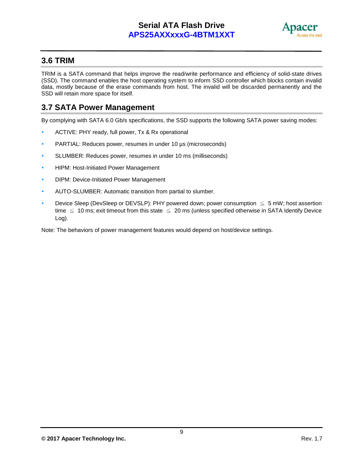

### **3.6 TRIM**

TRIM is a SATA command that helps improve the read/write performance and efficiency of solid-state drives (SSD). The command enables the host operating system to inform SSD controller which blocks contain invalid data, mostly because of the erase commands from host. The invalid will be discarded permanently and the SSD will retain more space for itself.

### **3.7 SATA Power Management**

By complying with SATA 6.0 Gb/s specifications, the SSD supports the following SATA power saving modes:

- ACTIVE: PHY ready, full power, Tx & Rx operational
- PARTIAL: Reduces power, resumes in under 10 [µs](http://en.wikipedia.org/wiki/Mu_(letter)) (microseconds)
- SLUMBER: Reduces power, resumes in under 10 ms (milliseconds)
- **HIPM: Host-Initiated Power Management**
- DIPM: Device-Initiated Power Management
- AUTO-SLUMBER: Automatic transition from partial to slumber.
- Device Sleep (DevSleep or DEVSLP): PHY powered down; power consumption  $\leq 5$  mW; host assertion time  $\leq$  10 ms; exit timeout from this state  $\leq$  20 ms (unless specified otherwise in SATA Identify Device Log).

Note: The behaviors of power management features would depend on host/device settings.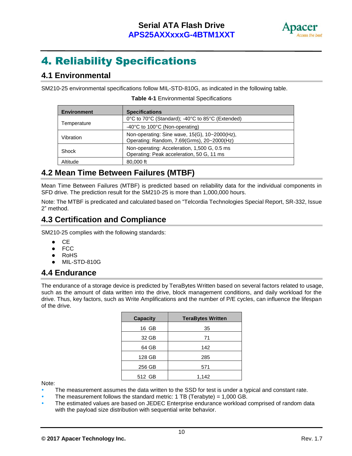

## 4. Reliability Specifications

### **4.1 Environmental**

SM210-25 environmental specifications follow MIL-STD-810G, as indicated in the following table.

| <b>Environment</b> | <b>Specifications</b>                                                                       |
|--------------------|---------------------------------------------------------------------------------------------|
|                    | 0°C to 70°C (Standard); -40°C to 85°C (Extended)                                            |
| Temperature        | -40°C to 100°C (Non-operating)                                                              |
| Vibration          | Non-operating: Sine wave, 15(G), 10~2000(Hz),<br>Operating: Random, 7.69(Grms), 20~2000(Hz) |
| Shock              | Non-operating: Acceleration, 1,500 G, 0.5 ms<br>Operating: Peak acceleration, 50 G, 11 ms   |
| Altitude           | 80,000 ft                                                                                   |

#### **Table 4-1** Environmental Specifications

### **4.2 Mean Time Between Failures (MTBF)**

Mean Time Between Failures (MTBF) is predicted based on reliability data for the individual components in SFD drive. The prediction result for the SM210-25 is more than 1,000,000 hours.

Note: The MTBF is predicated and calculated based on "Telcordia Technologies Special Report, SR-332, Issue 2" method.

### **4.3 Certification and Compliance**

SM210-25 complies with the following standards:

- **CE**
- FCC
- RoHS
- MIL-STD-810G

### **4.4 Endurance**

The endurance of a storage device is predicted by TeraBytes Written based on several factors related to usage, such as the amount of data written into the drive, block management conditions, and daily workload for the drive. Thus, key factors, such as Write Amplifications and the number of P/E cycles, can influence the lifespan of the drive.

| <b>Capacity</b> | <b>TeraBytes Written</b> |
|-----------------|--------------------------|
| 16 GB           | 35                       |
| 32 GB           | 71                       |
| 64 GB           | 142                      |
| 128 GB          | 285                      |
| 256 GB          | 571                      |
| 512 GB          | 1,142                    |

Note:

- The measurement assumes the data written to the SSD for test is under a typical and constant rate.
- The measurement follows the standard metric:  $1 \text{ TB}$  (Terabyte) = 1,000 GB.
- The estimated values are based on JEDEC Enterprise endurance workload comprised of random data with the payload size distribution with sequential write behavior.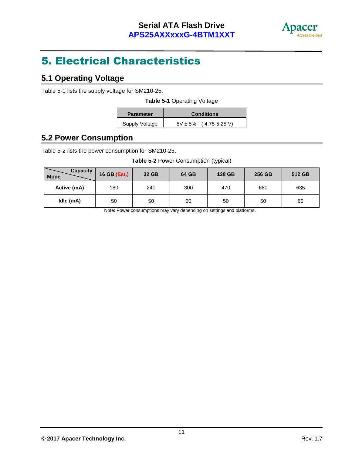

## 5. Electrical Characteristics

### **5.1 Operating Voltage**

Table 5-1 lists the supply voltage for SM210-25.

|  |  |  | Table 5-1 Operating Voltage |  |
|--|--|--|-----------------------------|--|
|--|--|--|-----------------------------|--|

| <b>Parameter</b> | <b>Conditions</b>               |
|------------------|---------------------------------|
| Supply Voltage   | $(4.75 - 5.25)$<br>$5V \pm 5\%$ |

### **5.2 Power Consumption**

Table 5-2 lists the power consumption for SM210-25.

#### **Table 5-2** Power Consumption (typical)

| <b>Capacity</b><br><b>Mode</b> | 16 GB (Est.) | 32 GB | 64 GB | 128 GB | 256 GB | 512 GB |
|--------------------------------|--------------|-------|-------|--------|--------|--------|
| Active (mA)                    | 180          | 240   | 300   | 470    | 680    | 635    |
| Idle (mA)                      | 50           | 50    | 50    | 50     | 50     | 60     |

Note: Power consumptions may vary depending on settings and platforms.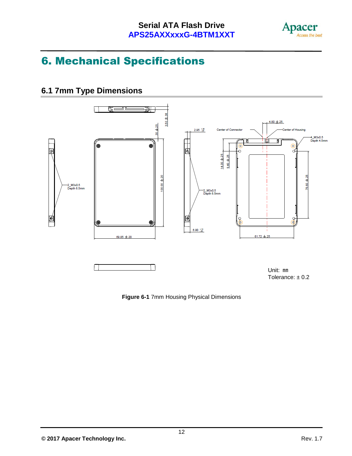

## 6. Mechanical Specifications

### **6.1 7mm Type Dimensions**



**Figure 6-1** 7mm Housing Physical Dimensions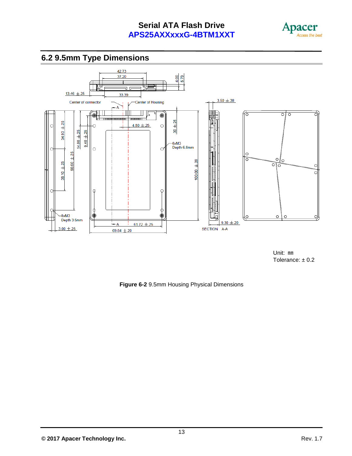





Unit: ㎜ Tolerance:  $\pm$  0.2

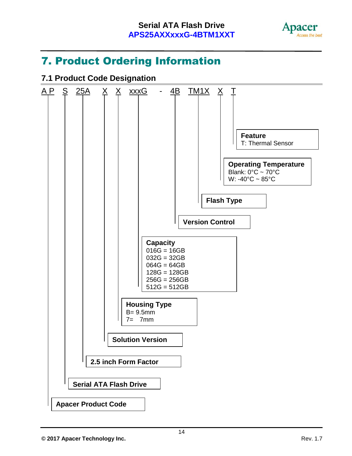

## 7. Product Ordering Information

### **7.1 Product Code Designation**

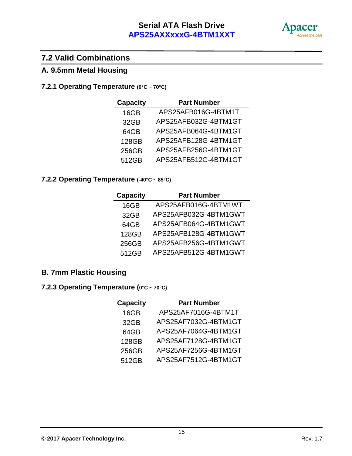

### **7.2 Valid Combinations**

### **A. 9.5mm Metal Housing**

### **7.2.1 Operating Temperature (0°C ~ 70°C)**

| <b>Capacity</b> | <b>Part Number</b>   |
|-----------------|----------------------|
| 16GB            | APS25AFB016G-4BTM1T  |
| 32GB            | APS25AFB032G-4BTM1GT |
| 64GB            | APS25AFB064G-4BTM1GT |
| 128GB           | APS25AFB128G-4BTM1GT |
| 256GB           | APS25AFB256G-4BTM1GT |
| 512GB           | APS25AFB512G-4BTM1GT |

### **7.2.2 Operating Temperature (-40°C ~ 85°C)**

| <b>Capacity</b> | <b>Part Number</b>    |
|-----------------|-----------------------|
| 16GB            | APS25AFB016G-4BTM1WT  |
| 32GB            | APS25AFB032G-4BTM1GWT |
| 64GB            | APS25AFB064G-4BTM1GWT |
| 128GB           | APS25AFB128G-4BTM1GWT |
| 256GB           | APS25AFB256G-4BTM1GWT |
| 512GB           | APS25AFB512G-4BTM1GWT |

### **B. 7mm Plastic Housing**

### **7.2.3 Operating Temperature (0°C ~ 70°C)**

| <b>Capacity</b> | <b>Part Number</b>   |
|-----------------|----------------------|
| 16GB            | APS25AF7016G-4BTM1T  |
| 32GB            | APS25AF7032G-4BTM1GT |
| 64GB            | APS25AF7064G-4BTM1GT |
| 128GB           | APS25AF7128G-4BTM1GT |
| 256GB           | APS25AF7256G-4BTM1GT |
| 512GB           | APS25AF7512G-4BTM1GT |

**© 2017 Apacer Technology Inc.** Rev. 1.7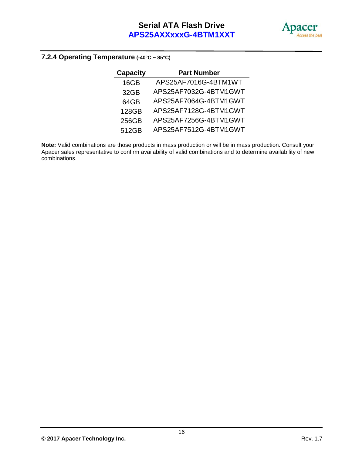

#### **7.2.4 Operating Temperature (-40°C ~ 85°C)**

| <b>Capacity</b> | <b>Part Number</b>    |
|-----------------|-----------------------|
| 16GB            | APS25AF7016G-4BTM1WT  |
| 32GB            | APS25AF7032G-4BTM1GWT |
| 64GB            | APS25AF7064G-4BTM1GWT |
| 128GB           | APS25AF7128G-4BTM1GWT |
| 256GB           | APS25AF7256G-4BTM1GWT |
| 512GB           | APS25AF7512G-4BTM1GWT |

**Note:** Valid combinations are those products in mass production or will be in mass production. Consult your Apacer sales representative to confirm availability of valid combinations and to determine availability of new combinations.

**© 2017 Apacer Technology Inc.** Rev. 1.7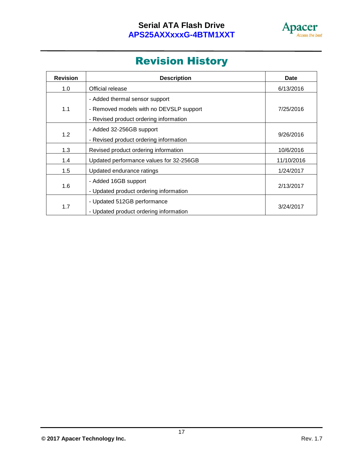

## Revision History

| <b>Revision</b> | <b>Description</b>                      | <b>Date</b> |  |
|-----------------|-----------------------------------------|-------------|--|
| 1.0             | Official release                        | 6/13/2016   |  |
|                 | - Added thermal sensor support          |             |  |
| 1.1             | - Removed models with no DEVSLP support | 7/25/2016   |  |
|                 | - Revised product ordering information  |             |  |
|                 | - Added 32-256GB support                | 9/26/2016   |  |
| 1.2             | - Revised product ordering information  |             |  |
| 1.3             | Revised product ordering information    | 10/6/2016   |  |
| 1.4             | Updated performance values for 32-256GB | 11/10/2016  |  |
| 1.5             | Updated endurance ratings               | 1/24/2017   |  |
|                 | - Added 16GB support                    |             |  |
| 1.6             | - Updated product ordering information  | 2/13/2017   |  |
|                 | - Updated 512GB performance             |             |  |
| 1.7             | - Updated product ordering information  | 3/24/2017   |  |